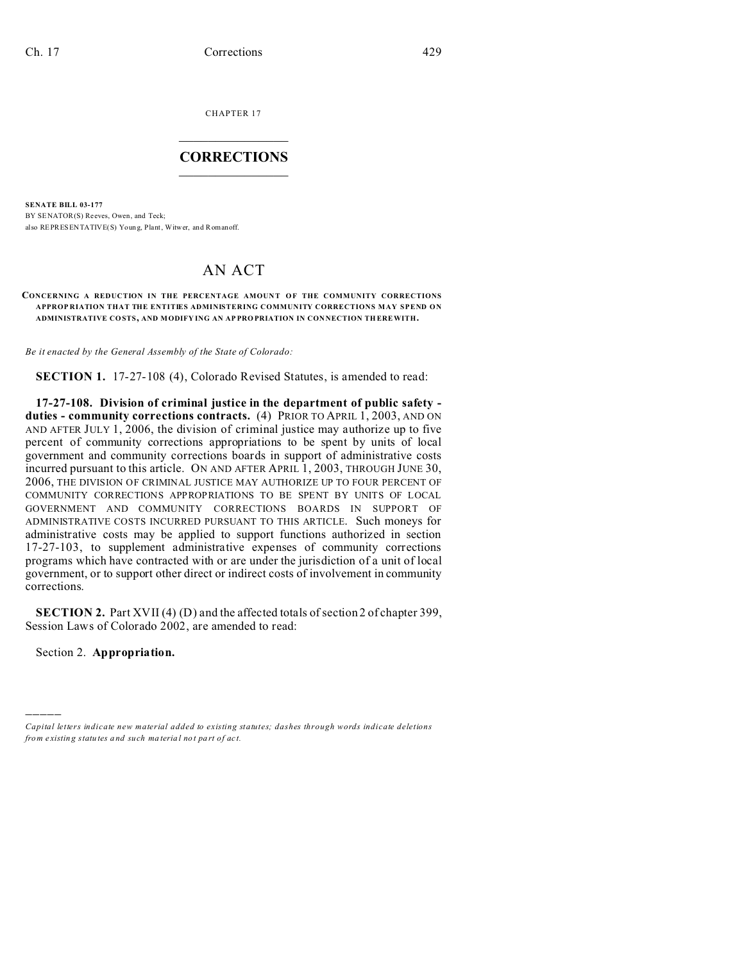CHAPTER 17  $\overline{\phantom{a}}$  , where  $\overline{\phantom{a}}$ 

## **CORRECTIONS**  $\frac{1}{2}$  ,  $\frac{1}{2}$  ,  $\frac{1}{2}$  ,  $\frac{1}{2}$  ,  $\frac{1}{2}$  ,  $\frac{1}{2}$

**SENATE BILL 03-177** BY SENATOR(S) Reeves, Owen, and Teck; also REPRESENTATIVE(S) Young, Plant, Witwer, and Romanoff.

# AN ACT

**CONCERNING A REDUCTION IN THE PERCENTAGE AMOUNT OF THE COMMUNITY CORRECTIONS APPROP RIATION THAT THE ENTITIES ADMINISTERING COMMUNITY CORRECTIONS MAY SPEND ON ADMINISTRATIVE CO STS, AND MODIFY ING AN AP PRO PRIATION IN CON NECTION TH EREWITH.**

*Be it enacted by the General Assembly of the State of Colorado:*

**SECTION 1.** 17-27-108 (4), Colorado Revised Statutes, is amended to read:

**17-27-108. Division of criminal justice in the department of public safety duties - community corrections contracts.** (4) PRIOR TO APRIL 1, 2003, AND ON AND AFTER JULY 1, 2006, the division of criminal justice may authorize up to five percent of community corrections appropriations to be spent by units of local government and community corrections boards in support of administrative costs incurred pursuant to this article. ON AND AFTER APRIL 1, 2003, THROUGH JUNE 30, 2006, THE DIVISION OF CRIMINAL JUSTICE MAY AUTHORIZE UP TO FOUR PERCENT OF COMMUNITY CORRECTIONS APPROPRIATIONS TO BE SPENT BY UNITS OF LOCAL GOVERNMENT AND COMMUNITY CORRECTIONS BOARDS IN SUPPORT OF ADMINISTRATIVE COSTS INCURRED PURSUANT TO THIS ARTICLE. Such moneys for administrative costs may be applied to support functions authorized in section 17-27-103, to supplement administrative expenses of community corrections programs which have contracted with or are under the jurisdiction of a unit of local government, or to support other direct or indirect costs of involvement in community corrections.

**SECTION 2.** Part XVII (4) (D) and the affected totals of section 2 of chapter 399, Session Laws of Colorado 2002, are amended to read:

Section 2. **Appropriation.**

)))))

*Capital letters indicate new material added to existing statutes; dashes through words indicate deletions from e xistin g statu tes a nd such ma teria l no t pa rt of ac t.*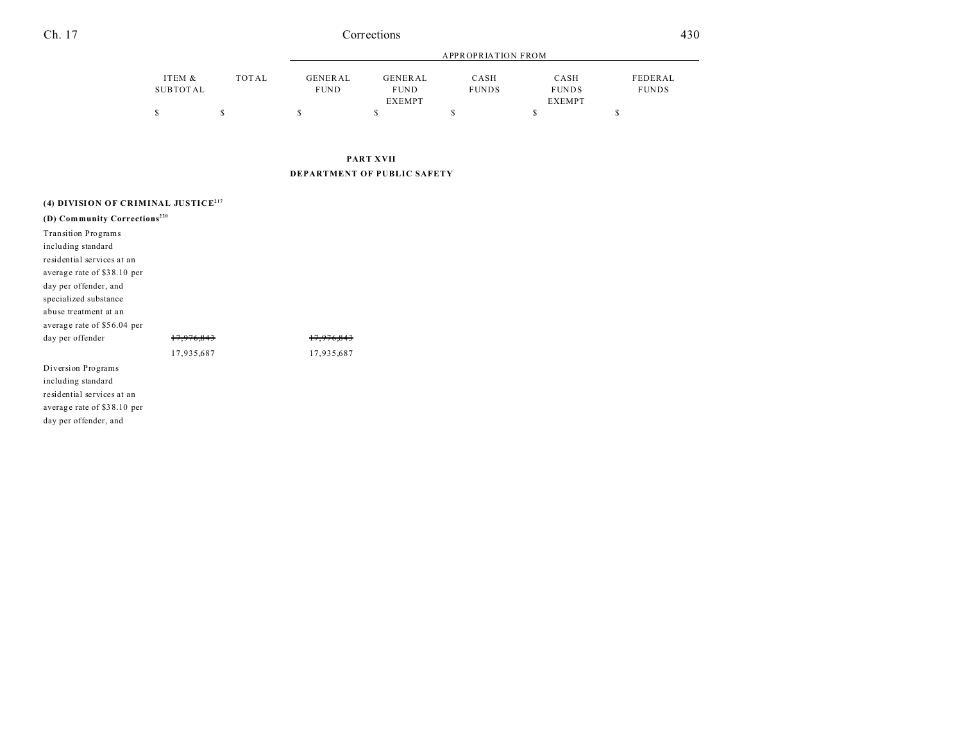### Ch. 17 Corrections 430

|          |       | APPROPRIATION FROM |               |              |               |              |
|----------|-------|--------------------|---------------|--------------|---------------|--------------|
| ITEM &   | TOTAL | <b>GENERAL</b>     | GENERAL       | CASH         | CASH          | FEDERAL      |
| SUBTOTAL |       | <b>FUND</b>        | <b>FUND</b>   | <b>FUNDS</b> | <b>FUNDS</b>  | <b>FUNDS</b> |
|          |       |                    | <b>EXEMPT</b> |              | <b>EXEMPT</b> |              |
| S        |       |                    |               |              |               |              |

# **PART XVII DEPARTMENT OF PUBLIC SAFETY**

| (4) DIVISION OF CRIMINAL JUSTICE <sup>217</sup> |            |            |  |  |  |
|-------------------------------------------------|------------|------------|--|--|--|
| (D) Community Corrections <sup>220</sup>        |            |            |  |  |  |
| <b>Transition Programs</b>                      |            |            |  |  |  |
| including standard                              |            |            |  |  |  |
| residential services at an                      |            |            |  |  |  |
| average rate of \$38.10 per                     |            |            |  |  |  |
| day per offender, and                           |            |            |  |  |  |
| specialized substance                           |            |            |  |  |  |
| abuse treatment at an                           |            |            |  |  |  |
| average rate of \$56.04 per                     |            |            |  |  |  |
| day per offender                                | 17.976.843 | 17.976.843 |  |  |  |
|                                                 | 17,935,687 | 17,935,687 |  |  |  |
| Diversion Programs                              |            |            |  |  |  |
| including standard                              |            |            |  |  |  |
| residential services at an                      |            |            |  |  |  |
| average rate of \$38.10 per                     |            |            |  |  |  |
| day per offender, and                           |            |            |  |  |  |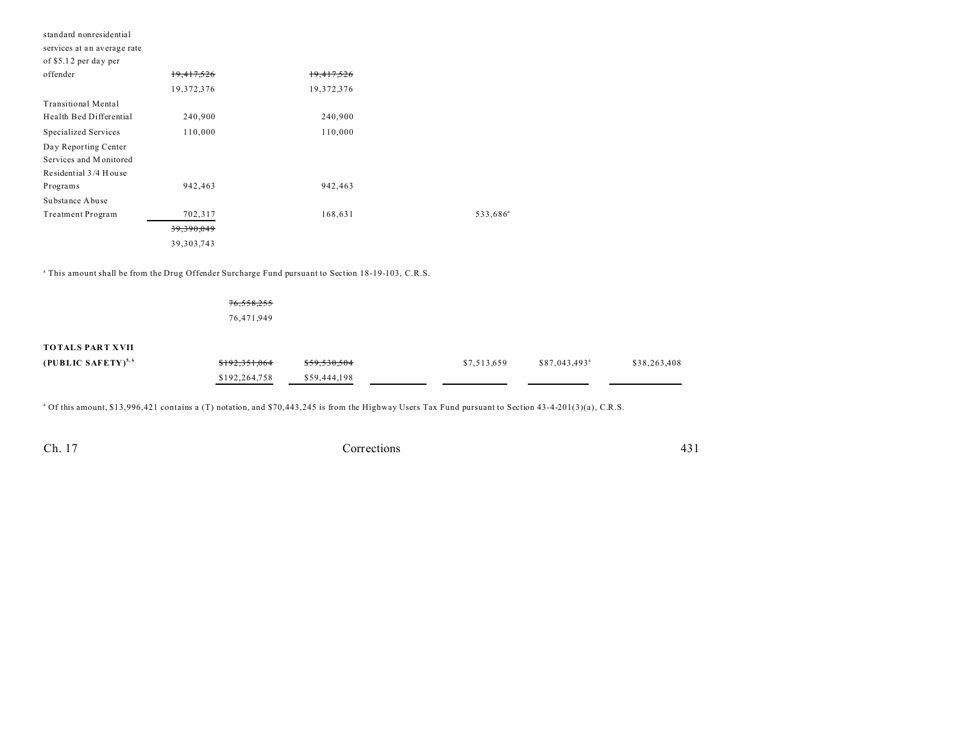| standard nonresidential     |              |            |                      |  |  |
|-----------------------------|--------------|------------|----------------------|--|--|
| services at an average rate |              |            |                      |  |  |
| of \$5.12 per day per       |              |            |                      |  |  |
| offender                    | 19,417,526   | 19,417,526 |                      |  |  |
|                             | 19,372,376   | 19,372,376 |                      |  |  |
| <b>Transitional Mental</b>  |              |            |                      |  |  |
| Health Bed Differential     | 240,900      | 240,900    |                      |  |  |
| Specialized Services        | 110,000      | 110,000    |                      |  |  |
| Day Reporting Center        |              |            |                      |  |  |
| Services and Monitored      |              |            |                      |  |  |
| Residential 3/4 House       |              |            |                      |  |  |
| Programs                    | 942,463      | 942,463    |                      |  |  |
| Substance Abuse             |              |            |                      |  |  |
| Treatment Program           | 702,317      | 168,631    | 533,686 <sup>a</sup> |  |  |
|                             | 39,390,049   |            |                      |  |  |
|                             | 39, 303, 743 |            |                      |  |  |
|                             |              |            |                      |  |  |

<sup>a</sup> This amount shall be from the Drug Offender Surcharge Fund pursuant to Section 18-19-103, C.R.S.

76,558,255 76,471,949

### **TOTALS PART XVII**

| (PUBLIC SAFETY) <sup>5,6</sup> | \$192,351,064 | \$59,530,504 | \$7.513.659 | \$87,043,493 <sup>a</sup> | \$38,263,408 |
|--------------------------------|---------------|--------------|-------------|---------------------------|--------------|
|                                | \$192,264,758 | \$59,444,198 |             |                           |              |

<sup>a</sup> Of this amount, \$13,996,421 contains a (T) notation, and \$70,443,245 is from the Highway Users Tax Fund pursuant to Section 43-4-201(3)(a), C.R.S.

Ch. 17

Corrections

431